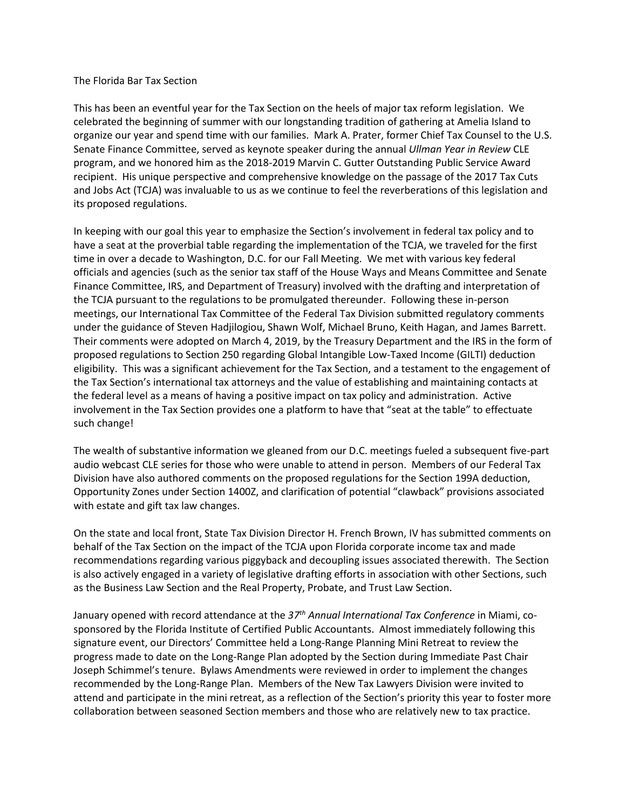## The Florida Bar Tax Section

This has been an eventful year for the Tax Section on the heels of major tax reform legislation. We celebrated the beginning of summer with our longstanding tradition of gathering at Amelia Island to organize our year and spend time with our families. Mark A. Prater, former Chief Tax Counsel to the U.S. Senate Finance Committee, served as keynote speaker during the annual *Ullman Year in Review* CLE program, and we honored him as the 2018-2019 Marvin C. Gutter Outstanding Public Service Award recipient. His unique perspective and comprehensive knowledge on the passage of the 2017 Tax Cuts and Jobs Act (TCJA) was invaluable to us as we continue to feel the reverberations of this legislation and its proposed regulations.

In keeping with our goal this year to emphasize the Section's involvement in federal tax policy and to have a seat at the proverbial table regarding the implementation of the TCJA, we traveled for the first time in over a decade to Washington, D.C. for our Fall Meeting. We met with various key federal officials and agencies (such as the senior tax staff of the House Ways and Means Committee and Senate Finance Committee, IRS, and Department of Treasury) involved with the drafting and interpretation of the TCJA pursuant to the regulations to be promulgated thereunder. Following these in-person meetings, our International Tax Committee of the Federal Tax Division submitted regulatory comments under the guidance of Steven Hadjilogiou, Shawn Wolf, Michael Bruno, Keith Hagan, and James Barrett. Their comments were adopted on March 4, 2019, by the Treasury Department and the IRS in the form of proposed regulations to Section 250 regarding Global Intangible Low-Taxed Income (GILTI) deduction eligibility. This was a significant achievement for the Tax Section, and a testament to the engagement of the Tax Section's international tax attorneys and the value of establishing and maintaining contacts at the federal level as a means of having a positive impact on tax policy and administration. Active involvement in the Tax Section provides one a platform to have that "seat at the table" to effectuate such change!

The wealth of substantive information we gleaned from our D.C. meetings fueled a subsequent five-part audio webcast CLE series for those who were unable to attend in person. Members of our Federal Tax Division have also authored comments on the proposed regulations for the Section 199A deduction, Opportunity Zones under Section 1400Z, and clarification of potential "clawback" provisions associated with estate and gift tax law changes.

On the state and local front, State Tax Division Director H. French Brown, IV has submitted comments on behalf of the Tax Section on the impact of the TCJA upon Florida corporate income tax and made recommendations regarding various piggyback and decoupling issues associated therewith. The Section is also actively engaged in a variety of legislative drafting efforts in association with other Sections, such as the Business Law Section and the Real Property, Probate, and Trust Law Section.

January opened with record attendance at the *37th Annual International Tax Conference* in Miami, cosponsored by the Florida Institute of Certified Public Accountants. Almost immediately following this signature event, our Directors' Committee held a Long-Range Planning Mini Retreat to review the progress made to date on the Long-Range Plan adopted by the Section during Immediate Past Chair Joseph Schimmel's tenure. Bylaws Amendments were reviewed in order to implement the changes recommended by the Long-Range Plan. Members of the New Tax Lawyers Division were invited to attend and participate in the mini retreat, as a reflection of the Section's priority this year to foster more collaboration between seasoned Section members and those who are relatively new to tax practice.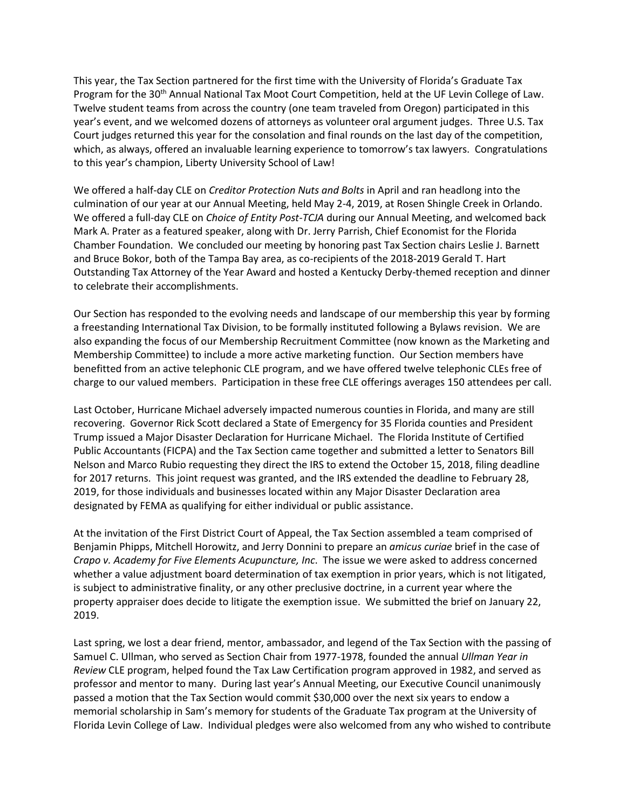This year, the Tax Section partnered for the first time with the University of Florida's Graduate Tax Program for the 30<sup>th</sup> Annual National Tax Moot Court Competition, held at the UF Levin College of Law. Twelve student teams from across the country (one team traveled from Oregon) participated in this year's event, and we welcomed dozens of attorneys as volunteer oral argument judges. Three U.S. Tax Court judges returned this year for the consolation and final rounds on the last day of the competition, which, as always, offered an invaluable learning experience to tomorrow's tax lawyers. Congratulations to this year's champion, Liberty University School of Law!

We offered a half-day CLE on *Creditor Protection Nuts and Bolts* in April and ran headlong into the culmination of our year at our Annual Meeting, held May 2-4, 2019, at Rosen Shingle Creek in Orlando. We offered a full-day CLE on *Choice of Entity Post-TCJA* during our Annual Meeting, and welcomed back Mark A. Prater as a featured speaker, along with Dr. Jerry Parrish, Chief Economist for the Florida Chamber Foundation. We concluded our meeting by honoring past Tax Section chairs Leslie J. Barnett and Bruce Bokor, both of the Tampa Bay area, as co-recipients of the 2018-2019 Gerald T. Hart Outstanding Tax Attorney of the Year Award and hosted a Kentucky Derby-themed reception and dinner to celebrate their accomplishments.

Our Section has responded to the evolving needs and landscape of our membership this year by forming a freestanding International Tax Division, to be formally instituted following a Bylaws revision. We are also expanding the focus of our Membership Recruitment Committee (now known as the Marketing and Membership Committee) to include a more active marketing function. Our Section members have benefitted from an active telephonic CLE program, and we have offered twelve telephonic CLEs free of charge to our valued members. Participation in these free CLE offerings averages 150 attendees per call.

Last October, Hurricane Michael adversely impacted numerous counties in Florida, and many are still recovering. Governor Rick Scott declared a State of Emergency for 35 Florida counties and President Trump issued a Major Disaster Declaration for Hurricane Michael. The Florida Institute of Certified Public Accountants (FICPA) and the Tax Section came together and submitted a letter to Senators Bill Nelson and Marco Rubio requesting they direct the IRS to extend the October 15, 2018, filing deadline for 2017 returns. This joint request was granted, and the IRS extended the deadline to February 28, 2019, for those individuals and businesses located within any Major Disaster Declaration area designated by FEMA as qualifying for either individual or public assistance.

At the invitation of the First District Court of Appeal, the Tax Section assembled a team comprised of Benjamin Phipps, Mitchell Horowitz, and Jerry Donnini to prepare an *amicus curiae* brief in the case of *Crapo v. Academy for Five Elements Acupuncture, Inc*. The issue we were asked to address concerned whether a value adjustment board determination of tax exemption in prior years, which is not litigated, is subject to administrative finality, or any other preclusive doctrine, in a current year where the property appraiser does decide to litigate the exemption issue. We submitted the brief on January 22, 2019.

Last spring, we lost a dear friend, mentor, ambassador, and legend of the Tax Section with the passing of Samuel C. Ullman, who served as Section Chair from 1977-1978, founded the annual *Ullman Year in Review* CLE program, helped found the Tax Law Certification program approved in 1982, and served as professor and mentor to many. During last year's Annual Meeting, our Executive Council unanimously passed a motion that the Tax Section would commit \$30,000 over the next six years to endow a memorial scholarship in Sam's memory for students of the Graduate Tax program at the University of Florida Levin College of Law. Individual pledges were also welcomed from any who wished to contribute